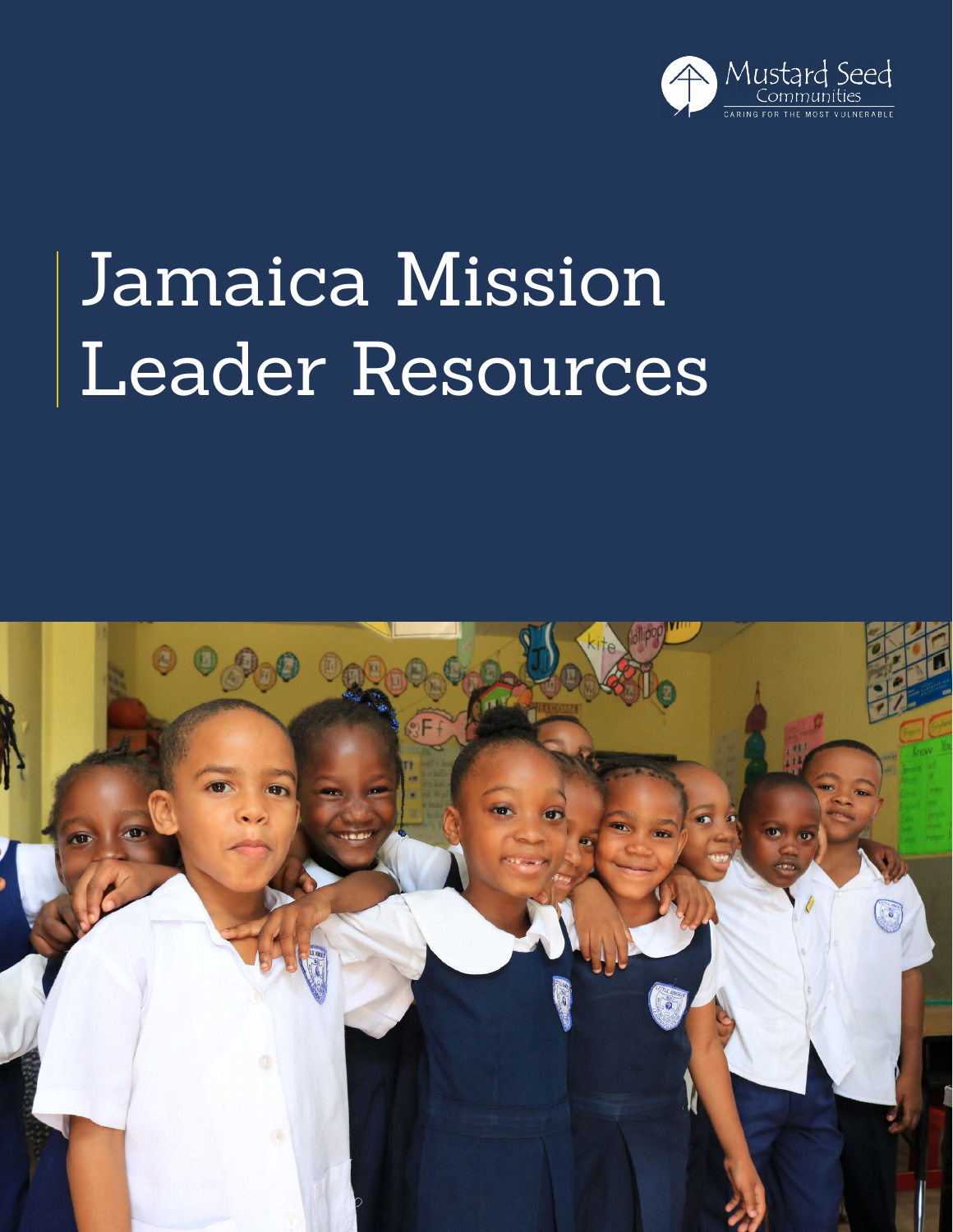

## Jamaica Mission Leader Resources

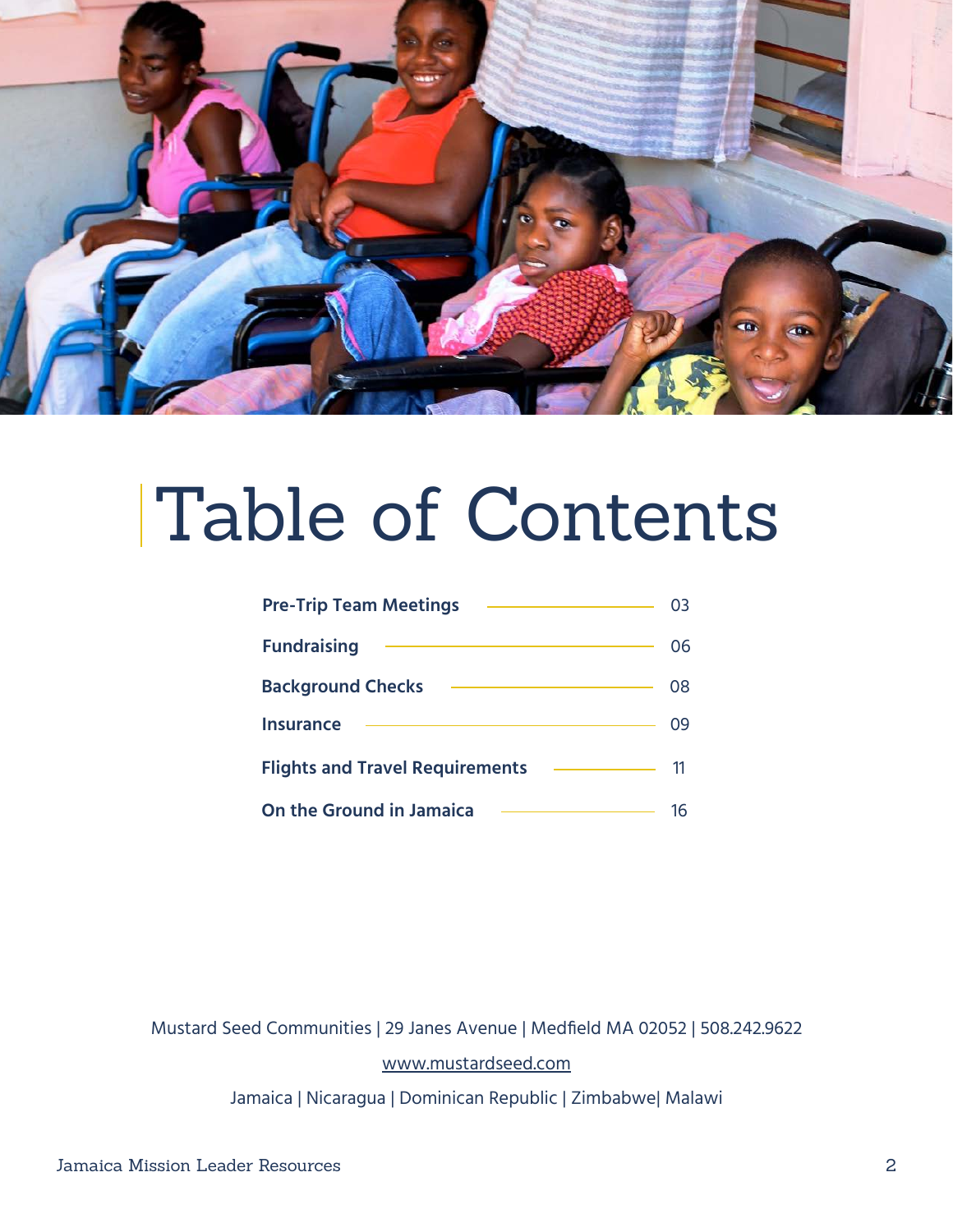

## Table of Contents

| <b>Pre-Trip Team Meetings</b>          |    |
|----------------------------------------|----|
| <b>Fundraising</b>                     | 06 |
| <b>Background Checks</b>               | 08 |
| <b>Insurance</b>                       | 09 |
| <b>Flights and Travel Requirements</b> | 11 |
| <b>On the Ground in Jamaica</b>        |    |

Mustard Seed Communities | 29 Janes Avenue | Medfield MA 02052 | 508.242.9622 [www.mustardseed.com](http://www.mustardseed.com )

Jamaica | Nicaragua | Dominican Republic | Zimbabwe| Malawi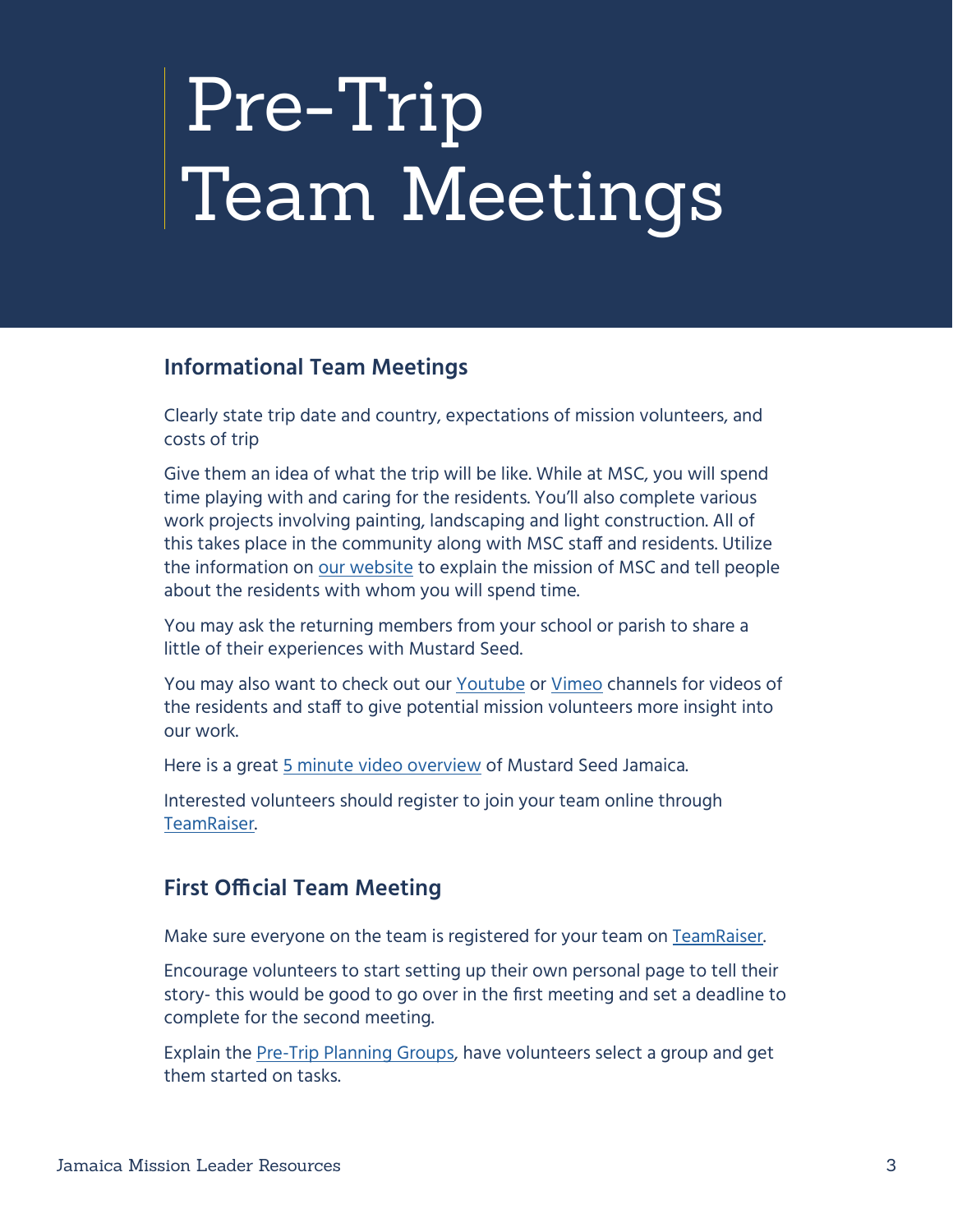# <span id="page-2-0"></span>Pre-Trip Team Meetings

#### **Informational Team Meetings**

Clearly state trip date and country, expectations of mission volunteers, and costs of trip

Give them an idea of what the trip will be like. While at MSC, you will spend time playing with and caring for the residents. You'll also complete various work projects involving painting, landscaping and light construction. All of this takes place in the community along with MSC staff and residents. Utilize the information on [our website](https://www.mustardseed.com) to explain the mission of MSC and tell people about the residents with whom you will spend time.

You may ask the returning members from your school or parish to share a little of their experiences with Mustard Seed.

You may also want to check out our [Youtube](https://www.youtube.com/channel/UCzrMnV3mm6XRkomRC2LI5Dw) or [Vimeo](https://vimeo.com/mustardseedcommunities) channels for videos of the residents and staff to give potential mission volunteers more insight into our work.

Here is a great [5 minute video overview](https://vimeo.com/675634475) of Mustard Seed Jamaica.

Interested volunteers should register to join your team online through [TeamRaiser.](#page-5-1)

#### **First Official Team Meeting**

Make sure everyone on the team is registered for your team on [TeamRaiser](#page-5-1).

Encourage volunteers to start setting up their own personal page to tell their story- this would be good to go over in the first meeting and set a deadline to complete for the second meeting.

Explain the [Pre-Trip Planning Groups,](https://docs.google.com/document/d/1bQbmV5CCpdluzDcj07d596ZlDlNe1olGPl04I4wGA3Y/edit?usp=sharing) have volunteers select a group and get them started on tasks.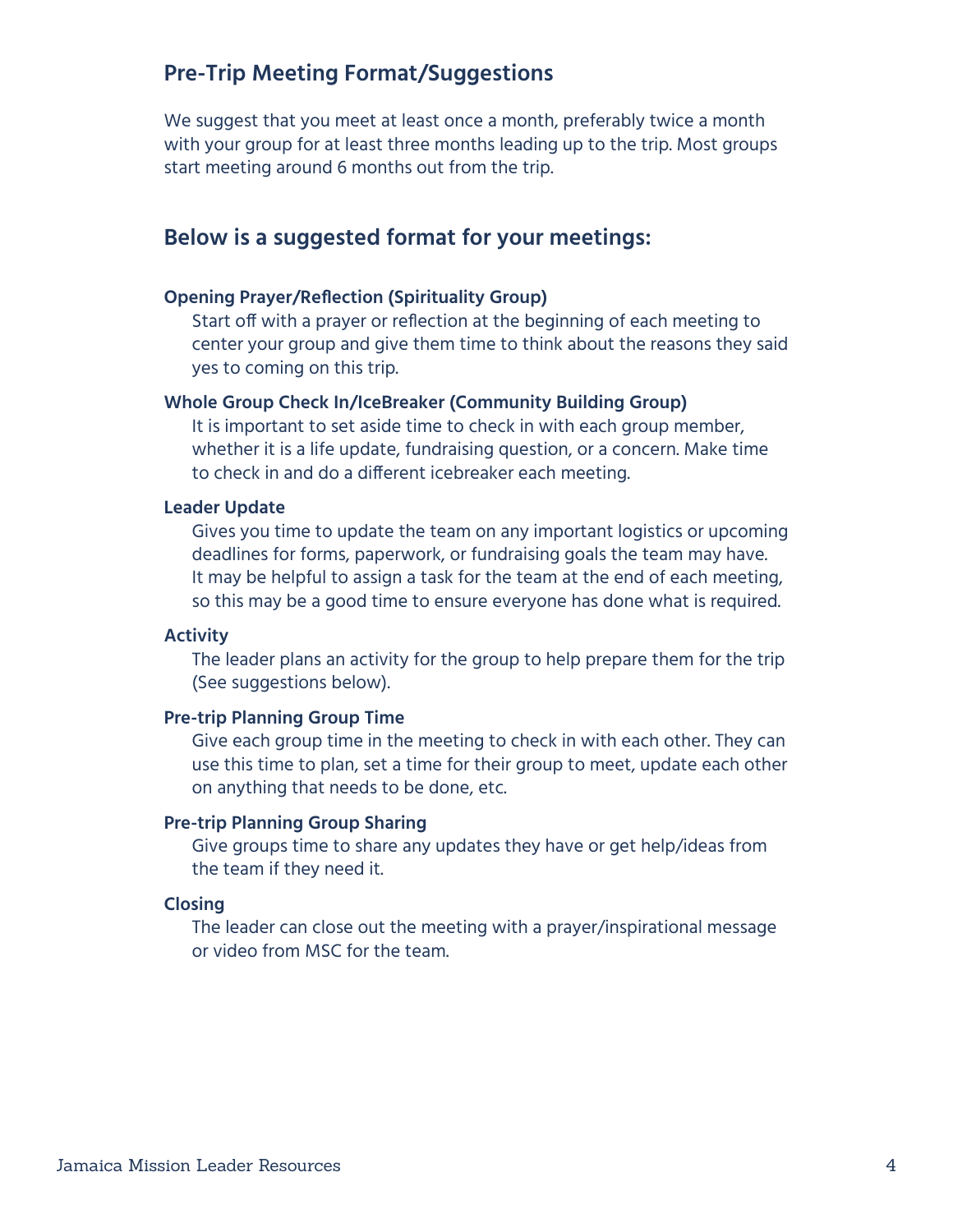#### **Pre-Trip Meeting Format/Suggestions**

We suggest that you meet at least once a month, preferably twice a month with your group for at least three months leading up to the trip. Most groups start meeting around 6 months out from the trip.

#### **Below is a suggested format for your meetings:**

#### **Opening Prayer/Reflection (Spirituality Group)**

Start off with a prayer or reflection at the beginning of each meeting to center your group and give them time to think about the reasons they said yes to coming on this trip.

#### **Whole Group Check In/IceBreaker (Community Building Group)**

It is important to set aside time to check in with each group member, whether it is a life update, fundraising question, or a concern. Make time to check in and do a different icebreaker each meeting.

#### **Leader Update**

Gives you time to update the team on any important logistics or upcoming deadlines for forms, paperwork, or fundraising goals the team may have. It may be helpful to assign a task for the team at the end of each meeting, so this may be a good time to ensure everyone has done what is required.

#### **Activity**

The leader plans an activity for the group to help prepare them for the trip (See suggestions below).

#### **Pre-trip Planning Group Time**

Give each group time in the meeting to check in with each other. They can use this time to plan, set a time for their group to meet, update each other on anything that needs to be done, etc.

#### **Pre-trip Planning Group Sharing**

Give groups time to share any updates they have or get help/ideas from the team if they need it.

#### **Closing**

The leader can close out the meeting with a prayer/inspirational message or video from MSC for the team.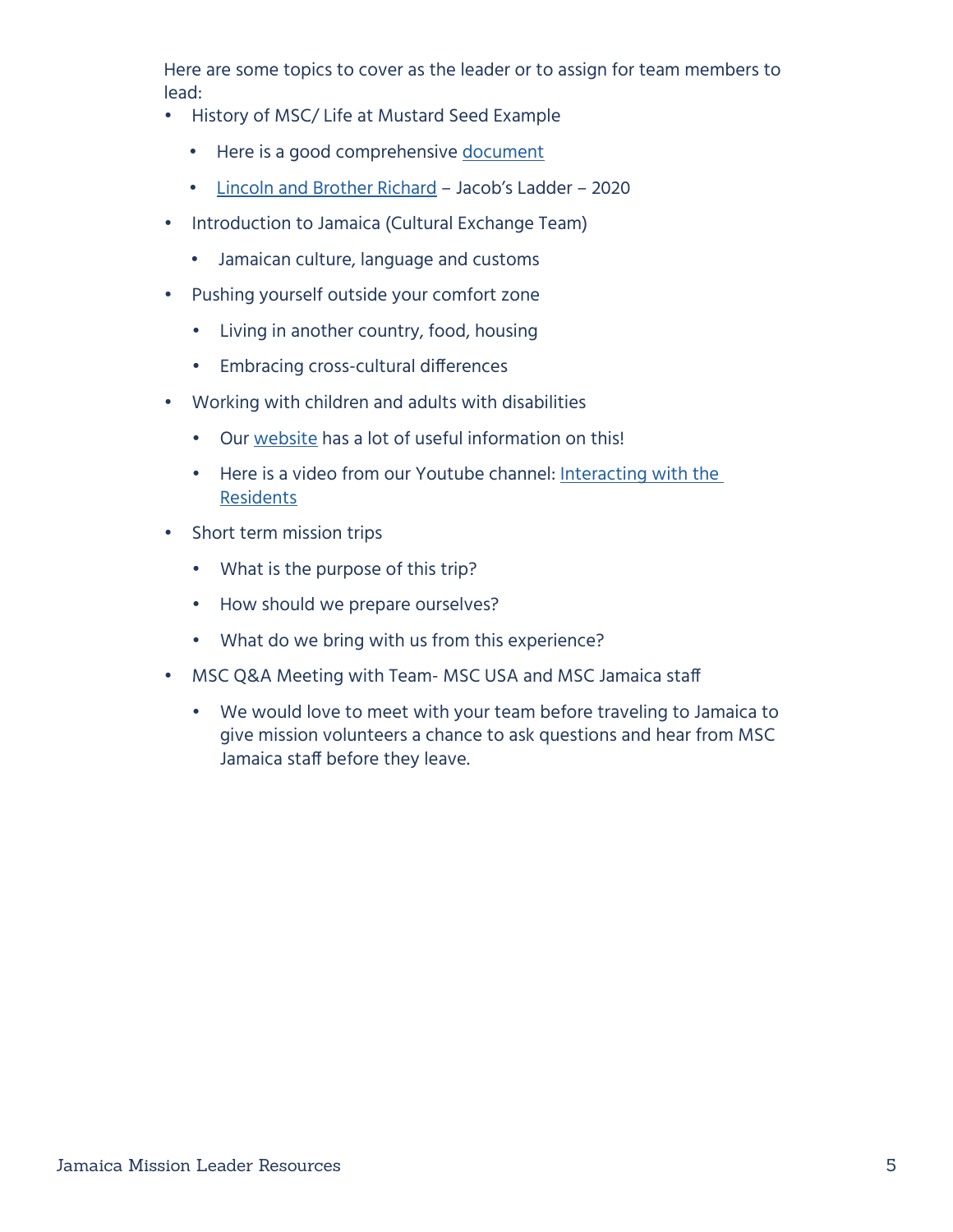Here are some topics to cover as the leader or to assign for team members to lead:

- History of MSC/ Life at Mustard Seed Example
	- Here is a good comprehensive [document](https://docs.google.com/document/d/1xU_5ff2oohFwWBMicq0aivKUdO3Wgn7S/edit)
	- [Lincoln and Brother Richard](https://vimeo.com/447842472)  Jacob's Ladder 2020
- Introduction to Jamaica (Cultural Exchange Team)
	- Jamaican culture, language and customs
- Pushing yourself outside your comfort zone
	- Living in another country, food, housing
	- Embracing cross-cultural differences
- Working with children and adults with disabilities
	- Our [website](https://www.mustardseed.com/blog/mscs-guide-interacting-residents) has a lot of useful information on this!
	- Here is a video from our Youtube channel: [Interacting with the](https://www.youtube.com/watch?v=cB4Y1NGwpfg)  [Residents](https://www.youtube.com/watch?v=cB4Y1NGwpfg)
- Short term mission trips
	- What is the purpose of this trip?
	- How should we prepare ourselves?
	- What do we bring with us from this experience?
- MSC Q&A Meeting with Team- MSC USA and MSC Jamaica staff
	- We would love to meet with your team before traveling to Jamaica to give mission volunteers a chance to ask questions and hear from MSC Jamaica staff before they leave.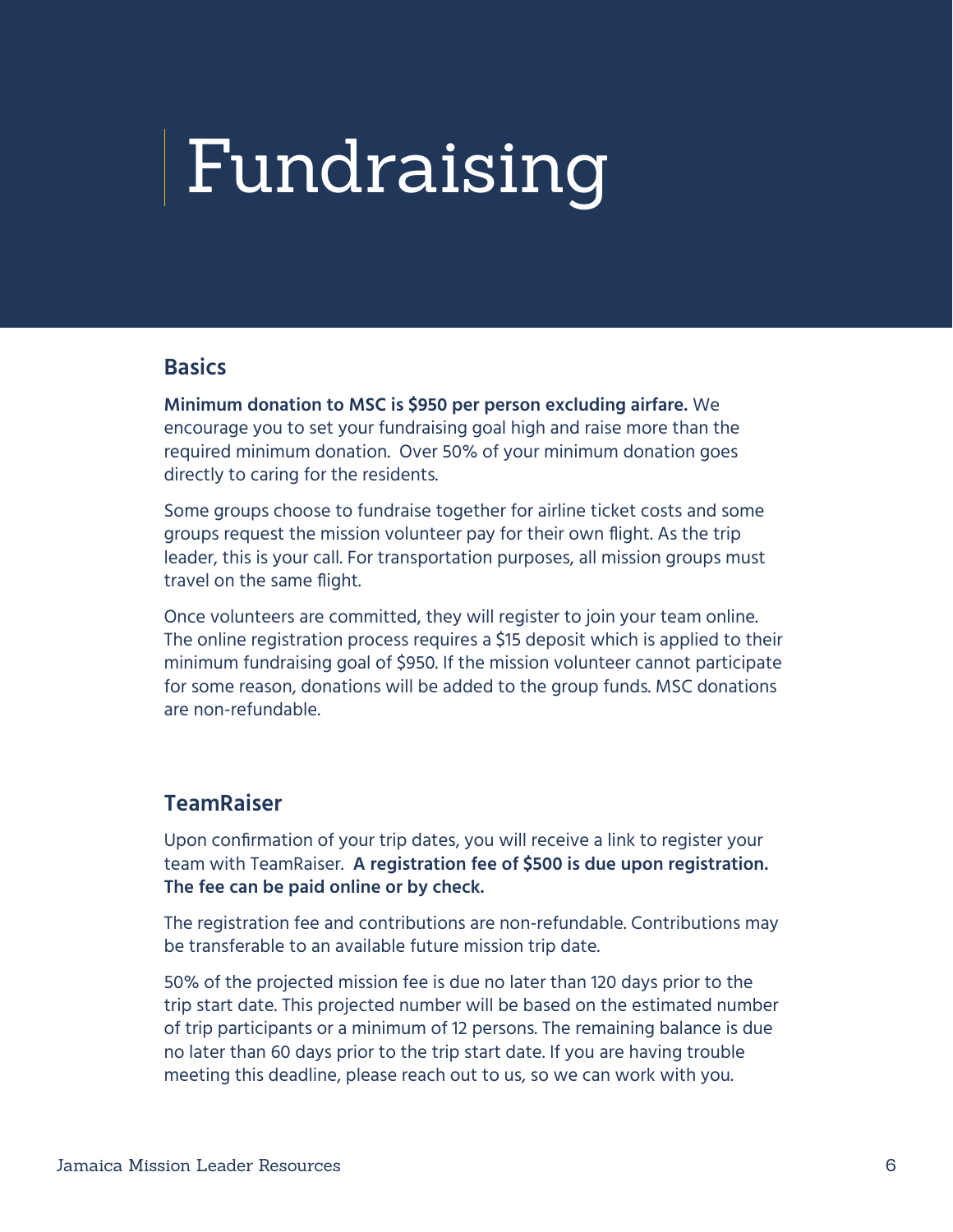## <span id="page-5-0"></span>Fundraising

#### **Basics**

**Minimum donation to MSC is \$950 per person excluding airfare.** We encourage you to set your fundraising goal high and raise more than the required minimum donation. Over 50% of your minimum donation goes directly to caring for the residents.

Some groups choose to fundraise together for airline ticket costs and some groups request the mission volunteer pay for their own flight. As the trip leader, this is your call. For transportation purposes, all mission groups must travel on the same flight.

Once volunteers are committed, they will register to join your team online. The online registration process requires a \$15 deposit which is applied to their minimum fundraising goal of \$950. If the mission volunteer cannot participate for some reason, donations will be added to the group funds. MSC donations are non-refundable.

#### <span id="page-5-1"></span>**TeamRaiser**

Upon confirmation of your trip dates, you will receive a link to register your team with TeamRaiser. **A registration fee of \$500 is due upon registration. The fee can be paid online or by check.** 

The registration fee and contributions are non-refundable. Contributions may be transferable to an available future mission trip date.

50% of the projected mission fee is due no later than 120 days prior to the trip start date. This projected number will be based on the estimated number of trip participants or a minimum of 12 persons. The remaining balance is due no later than 60 days prior to the trip start date. If you are having trouble meeting this deadline, please reach out to us, so we can work with you.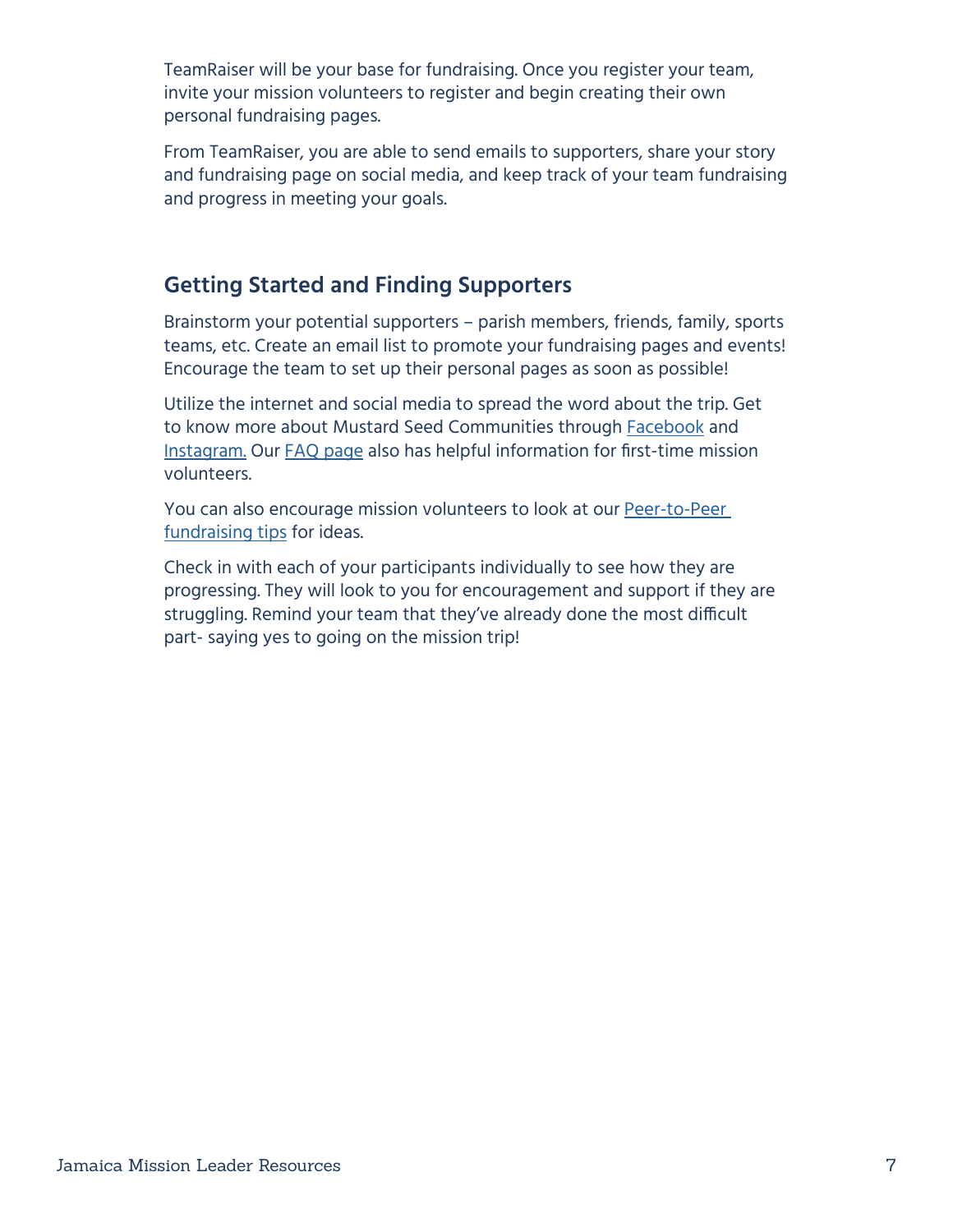TeamRaiser will be your base for fundraising. Once you register your team, invite your mission volunteers to register and begin creating their own personal fundraising pages.

From TeamRaiser, you are able to send emails to supporters, share your story and fundraising page on social media, and keep track of your team fundraising and progress in meeting your goals.

### **Getting Started and Finding Supporters**

Brainstorm your potential supporters – parish members, friends, family, sports teams, etc. Create an email list to promote your fundraising pages and events! Encourage the team to set up their personal pages as soon as possible!

Utilize the internet and social media to spread the word about the trip. Get to know more about Mustard Seed Communities through **[Facebook](https://www.facebook.com/MustardSeedCommunities/)** and [Instagram](https://www.instagram.com/mustardseedcommunities/). Our [FAQ page](https://www.mustardseed.com/mission-trips/frequently-asked-questions) also has helpful information for first-time mission volunteers.

You can also encourage mission volunteers to look at our Peer-to-Peer [fundraising tips](https://www.mustardseed.com/blog/peer-peer-fundraising) for ideas.

Check in with each of your participants individually to see how they are progressing. They will look to you for encouragement and support if they are struggling. Remind your team that they've already done the most difficult part- saying yes to going on the mission trip!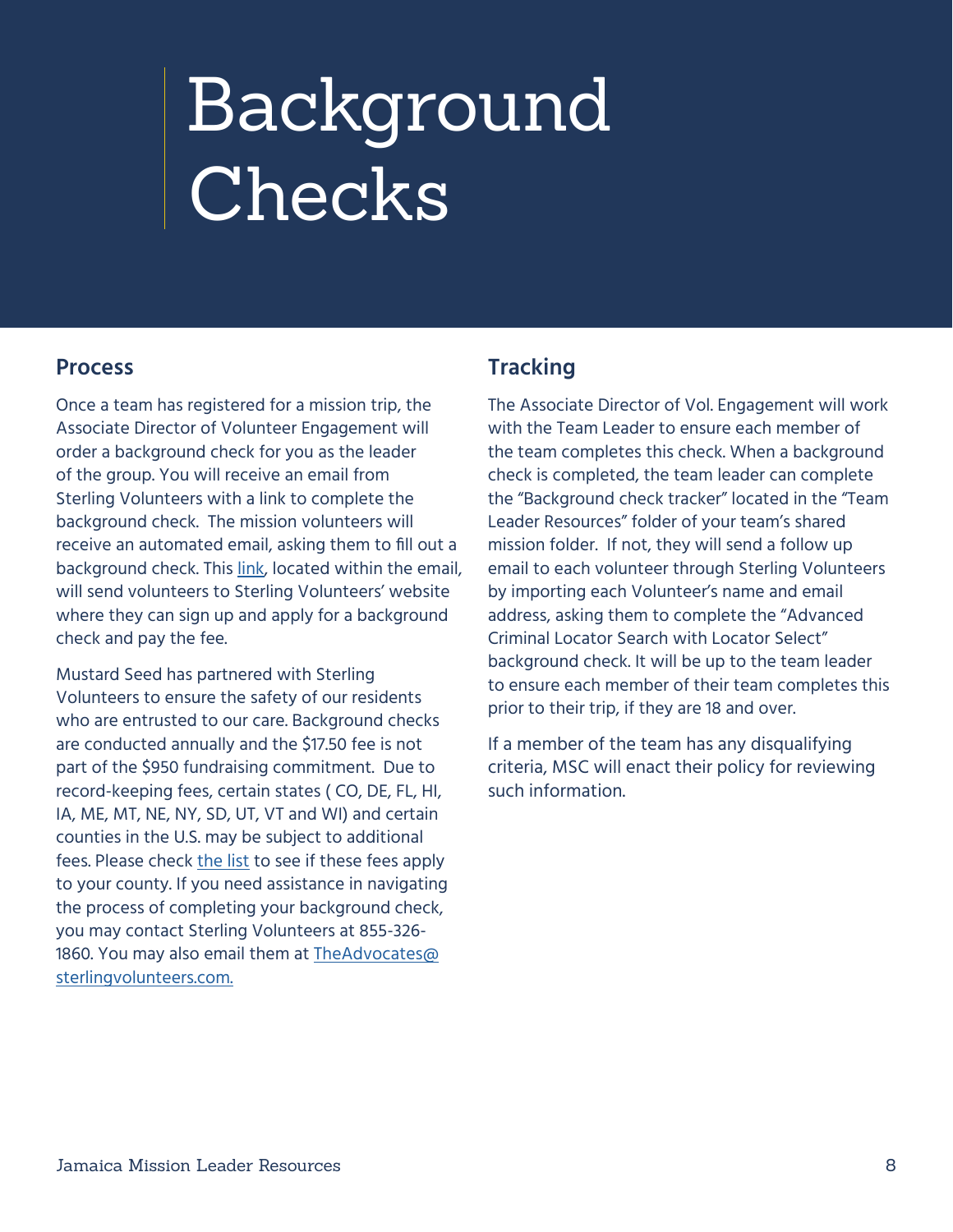# <span id="page-7-0"></span>Background Checks

#### **Process**

Once a team has registered for a mission trip, the Associate Director of Volunteer Engagement will order a background check for you as the leader of the group. You will receive an email from Sterling Volunteers with a link to complete the background check. The mission volunteers will receive an automated email, asking them to fill out a background check. This [link,](https://app.sterlingvolunteers.com/promoorder/c416bfff-66e8-49ae-81cf-77371c4563ec) located within the email, will send volunteers to Sterling Volunteers' website where they can sign up and apply for a background check and pay the fee.

Mustard Seed has partnered with Sterling Volunteers to ensure the safety of our residents who are entrusted to our care. Background checks are conducted annually and the \$17.50 fee is not part of the \$950 fundraising commitment. Due to record-keeping fees, certain states ( CO, DE, FL, HI, IA, ME, MT, NE, NY, SD, UT, VT and WI) and certain counties in the U.S. may be subject to additional fees. Please check [the list](https://acrobat.adobe.com/link/review?uri=urn:aaid:scds:US:c90b7f86-00fe-327d-8c49-0916e288f0ce) to see if these fees apply to your county. If you need assistance in navigating the process of completing your background check, you may contact Sterling Volunteers at 855-326- 1860. You may also email them at [TheAdvocates@](mailto:TheAdvocates@sterlingvolunteers.com) [sterlingvolunteers.com.](mailto:TheAdvocates@sterlingvolunteers.com)

### **Tracking**

The Associate Director of Vol. Engagement will work with the Team Leader to ensure each member of the team completes this check. When a background check is completed, the team leader can complete the "Background check tracker" located in the "Team Leader Resources" folder of your team's shared mission folder. If not, they will send a follow up email to each volunteer through Sterling Volunteers by importing each Volunteer's name and email address, asking them to complete the "Advanced Criminal Locator Search with Locator Select" background check. It will be up to the team leader to ensure each member of their team completes this prior to their trip, if they are 18 and over.

If a member of the team has any disqualifying criteria, MSC will enact their policy for reviewing such information.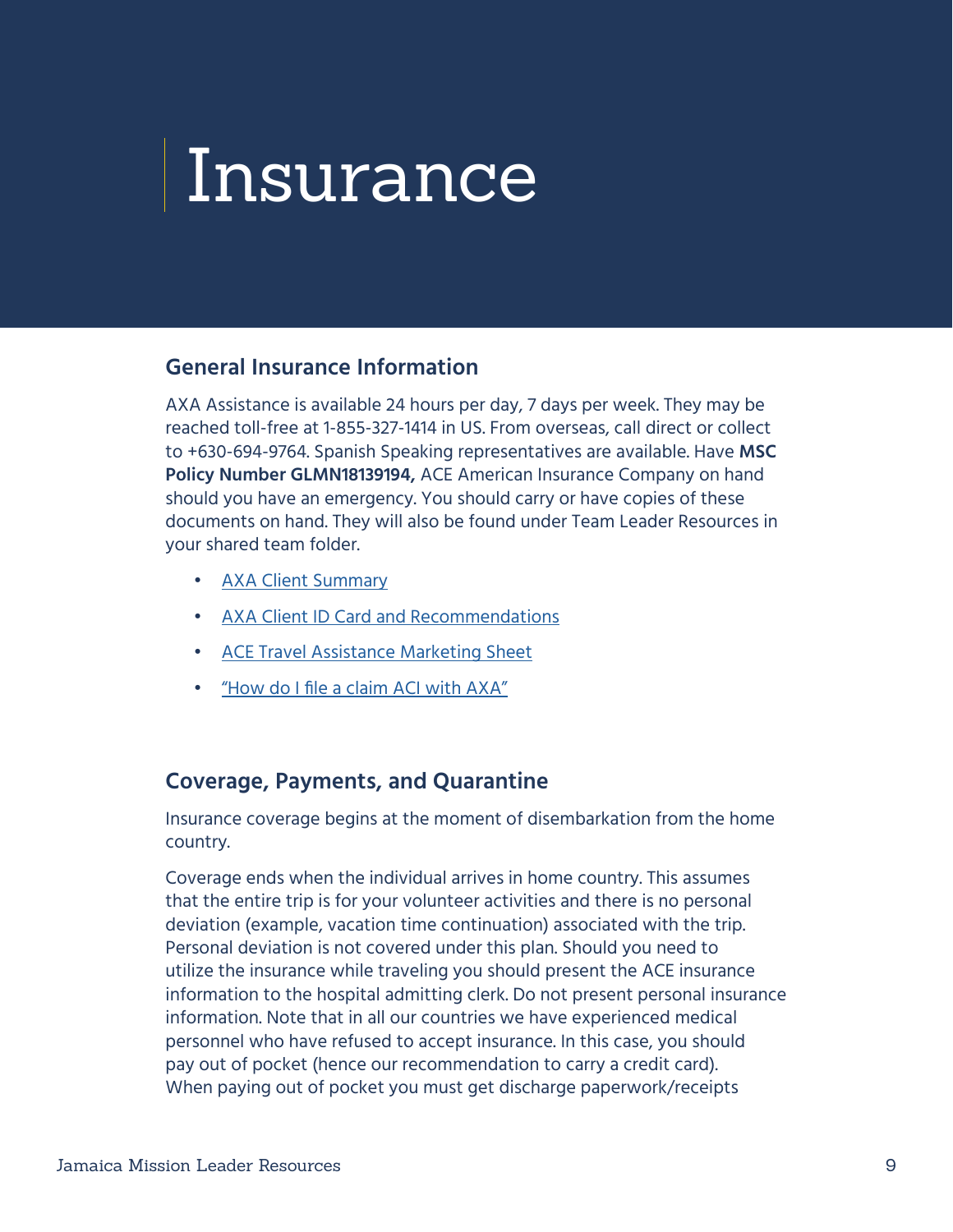## <span id="page-8-0"></span>Insurance

#### **General Insurance Information**

AXA Assistance is available 24 hours per day, 7 days per week. They may be reached toll-free at 1-855-327-1414 in US. From overseas, call direct or collect to +630-694-9764. Spanish Speaking representatives are available. Have **MSC Policy Number GLMN18139194,** ACE American Insurance Company on hand should you have an emergency. You should carry or have copies of these documents on hand. They will also be found under Team Leader Resources in your shared team folder.

- [AXA Client Summary](https://drive.google.com/file/d/15JzuFUVqRQDaPYVhD3NUmBAdHW5EdjFP/view?usp=sharing)
- [AXA Client ID Card and Recommendations](https://drive.google.com/file/d/1hDQk4n0HERoZQotYpyXZXLtraR-QOWd8/view?usp=sharing)
- [ACE Travel Assistance Marketing Sheet](https://drive.google.com/file/d/1aLlxlkQwW7fOU9h-QU8bqfGmqQgnZg34/view?usp=sharing)
- ["How do I file a claim ACI with AXA"](https://drive.google.com/file/d/1K-3m1u3km-0V54LB4DEqqEri8LPqsjeR/view?usp=sharing)

#### **Coverage, Payments, and Quarantine**

Insurance coverage begins at the moment of disembarkation from the home country.

Coverage ends when the individual arrives in home country. This assumes that the entire trip is for your volunteer activities and there is no personal deviation (example, vacation time continuation) associated with the trip. Personal deviation is not covered under this plan. Should you need to utilize the insurance while traveling you should present the ACE insurance information to the hospital admitting clerk. Do not present personal insurance information. Note that in all our countries we have experienced medical personnel who have refused to accept insurance. In this case, you should pay out of pocket (hence our recommendation to carry a credit card). When paying out of pocket you must get discharge paperwork/receipts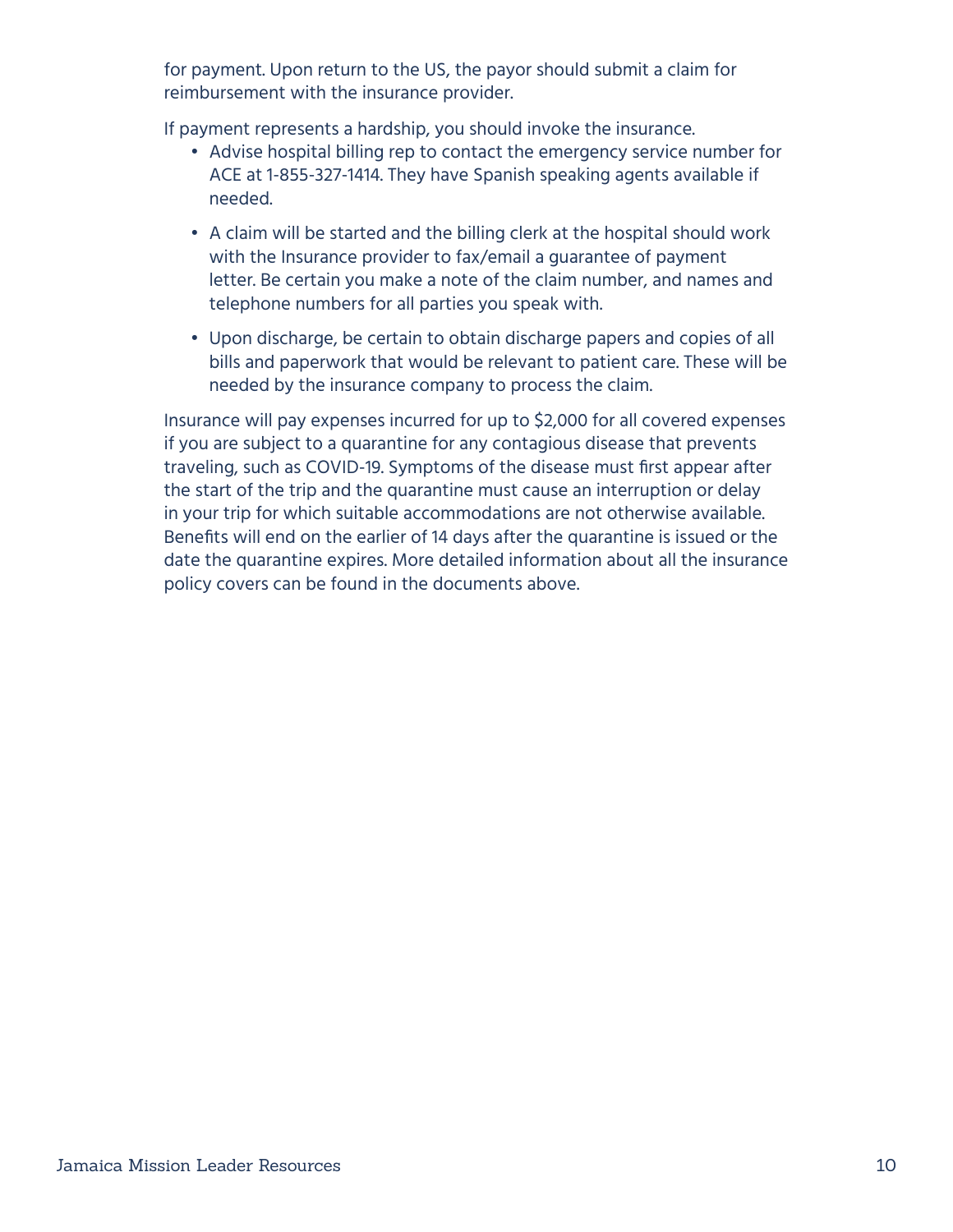for payment. Upon return to the US, the payor should submit a claim for reimbursement with the insurance provider.

If payment represents a hardship, you should invoke the insurance.

- Advise hospital billing rep to contact the emergency service number for ACE at 1-855-327-1414. They have Spanish speaking agents available if needed.
- A claim will be started and the billing clerk at the hospital should work with the Insurance provider to fax/email a guarantee of payment letter. Be certain you make a note of the claim number, and names and telephone numbers for all parties you speak with.
- Upon discharge, be certain to obtain discharge papers and copies of all bills and paperwork that would be relevant to patient care. These will be needed by the insurance company to process the claim.

Insurance will pay expenses incurred for up to \$2,000 for all covered expenses if you are subject to a quarantine for any contagious disease that prevents traveling, such as COVID-19. Symptoms of the disease must first appear after the start of the trip and the quarantine must cause an interruption or delay in your trip for which suitable accommodations are not otherwise available. Benefits will end on the earlier of 14 days after the quarantine is issued or the date the quarantine expires. More detailed information about all the insurance policy covers can be found in the documents above.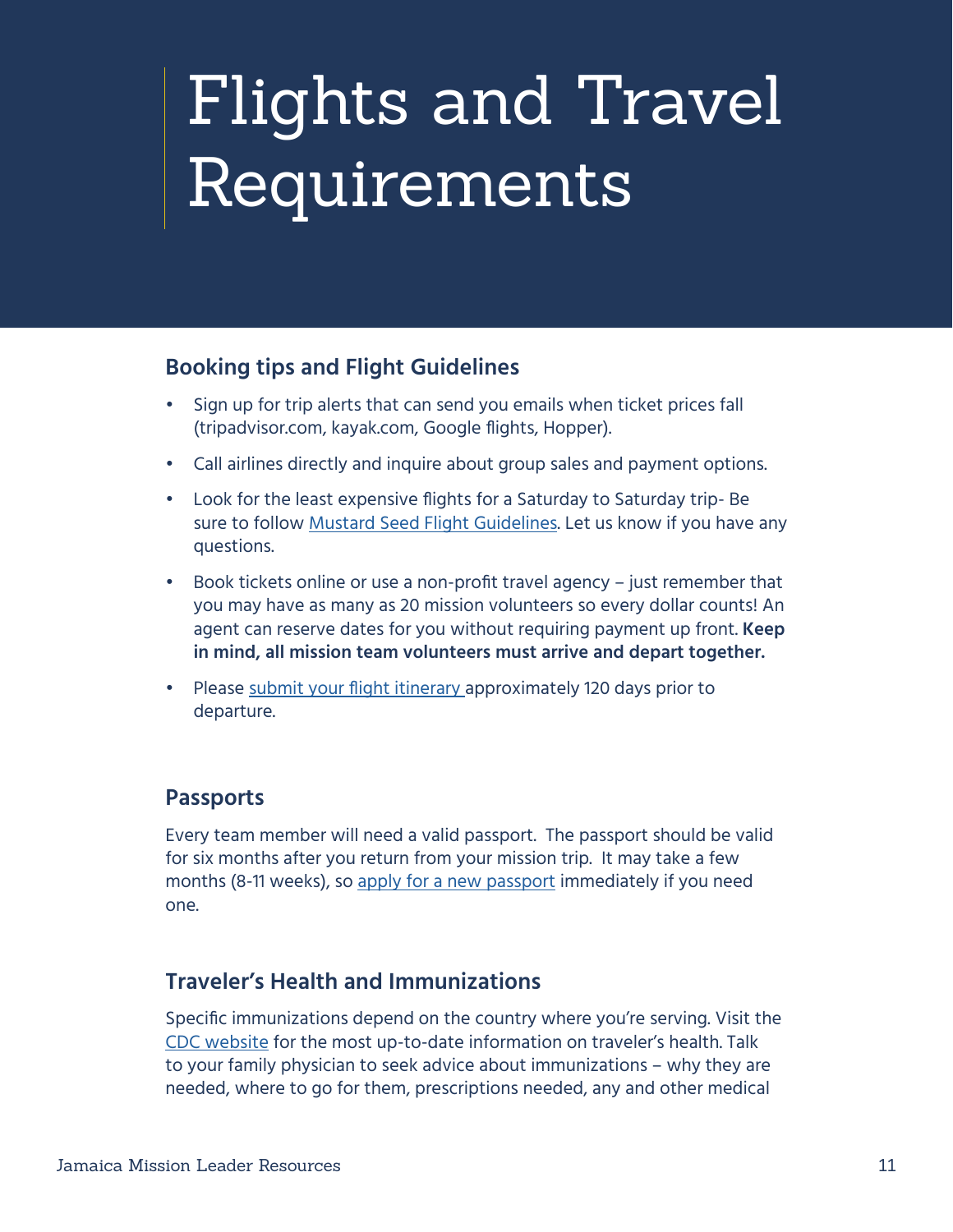## <span id="page-10-0"></span>Flights and Travel Requirements

#### **Booking tips and Flight Guidelines**

- Sign up for trip alerts that can send you emails when ticket prices fall (tripadvisor.com, kayak.com, Google flights, Hopper).
- Call airlines directly and inquire about group sales and payment options.
- Look for the least expensive flights for a Saturday to Saturday trip- Be sure to follow [Mustard Seed Flight Guidelines](https://www.mustardseed.com/sites/default/files/FlightInformation2019.pdf). Let us know if you have any questions.
- Book tickets online or use a non-profit travel agency just remember that you may have as many as 20 mission volunteers so every dollar counts! An agent can reserve dates for you without requiring payment up front. **Keep in mind, all mission team volunteers must arrive and depart together.**
- Please [submit your flight itinerary](http://go.mustardseed.com/site/Survey?SURVEY_ID=6794&ACTION_REQUIRED=URI_ACTION_USER_REQUESTS&AddInterest=1034&utm_source=document&utm_medium=website&utm_campaign=flight_survey) approximately 120 days prior to departure.

## **Passports**

Every team member will need a valid passport. The passport should be valid for six months after you return from your mission trip. It may take a few months (8-11 weeks), so [apply for a new passport](http://www.travel.state.gov/passport) immediately if you need one.

## **Traveler's Health and Immunizations**

Specific immunizations depend on the country where you're serving. Visit the [CDC website](https://wwwnc.cdc.gov/travel/destinations/list) for the most up-to-date information on traveler's health. Talk to your family physician to seek advice about immunizations – why they are needed, where to go for them, prescriptions needed, any and other medical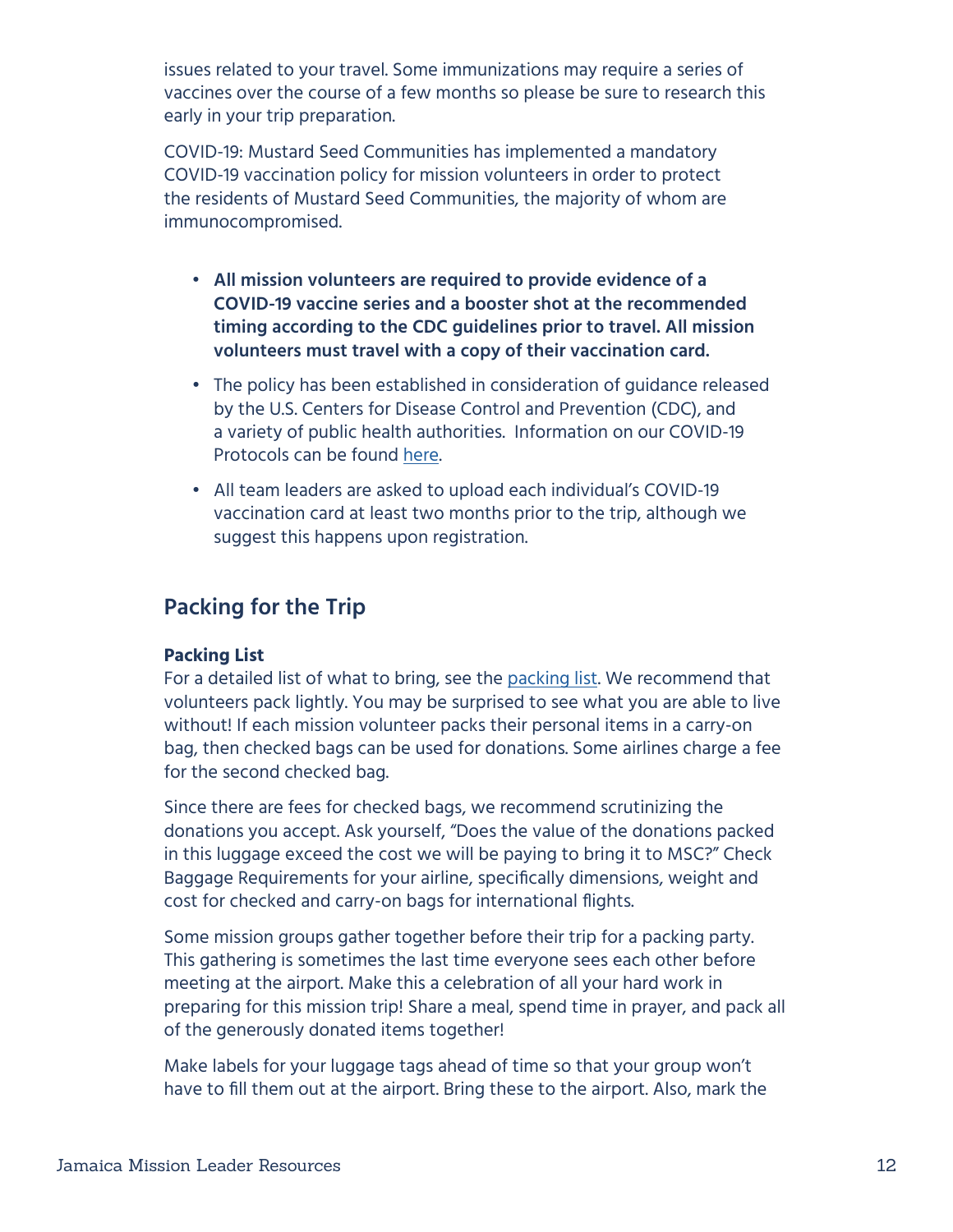issues related to your travel. Some immunizations may require a series of vaccines over the course of a few months so please be sure to research this early in your trip preparation.

COVID-19: Mustard Seed Communities has implemented a mandatory COVID-19 vaccination policy for mission volunteers in order to protect the residents of Mustard Seed Communities, the majority of whom are immunocompromised.

- **• All mission volunteers are required to provide evidence of a COVID-19 vaccine series and a booster shot at the recommended timing according to the CDC guidelines prior to travel. All mission volunteers must travel with a copy of their vaccination card.**
- The policy has been established in consideration of guidance released by the U.S. Centers for Disease Control and Prevention (CDC), and a variety of public health authorities. Information on our COVID-19 Protocols can be found [here](https://docs.google.com/document/d/1IhzaYnnhIt9XZmr_WkbZCCqWj0_19qs4/edit?usp=sharing&ouid=114222190925951018293&rtpof=true&sd=true).
- All team leaders are asked to upload each individual's COVID-19 vaccination card at least two months prior to the trip, although we suggest this happens upon registration.

### **Packing for the Trip**

#### **Packing List**

For a detailed list of what to bring, see the [packing list](https://drive.google.com/file/d/1Ay6AzaPW6m9MvZxSWVwUlAF56YQaaxOY/view?usp=sharing). We recommend that volunteers pack lightly. You may be surprised to see what you are able to live without! If each mission volunteer packs their personal items in a carry-on bag, then checked bags can be used for donations. Some airlines charge a fee for the second checked bag.

Since there are fees for checked bags, we recommend scrutinizing the donations you accept. Ask yourself, "Does the value of the donations packed in this luggage exceed the cost we will be paying to bring it to MSC?" Check Baggage Requirements for your airline, specifically dimensions, weight and cost for checked and carry-on bags for international flights.

Some mission groups gather together before their trip for a packing party. This gathering is sometimes the last time everyone sees each other before meeting at the airport. Make this a celebration of all your hard work in preparing for this mission trip! Share a meal, spend time in prayer, and pack all of the generously donated items together!

Make labels for your luggage tags ahead of time so that your group won't have to fill them out at the airport. Bring these to the airport. Also, mark the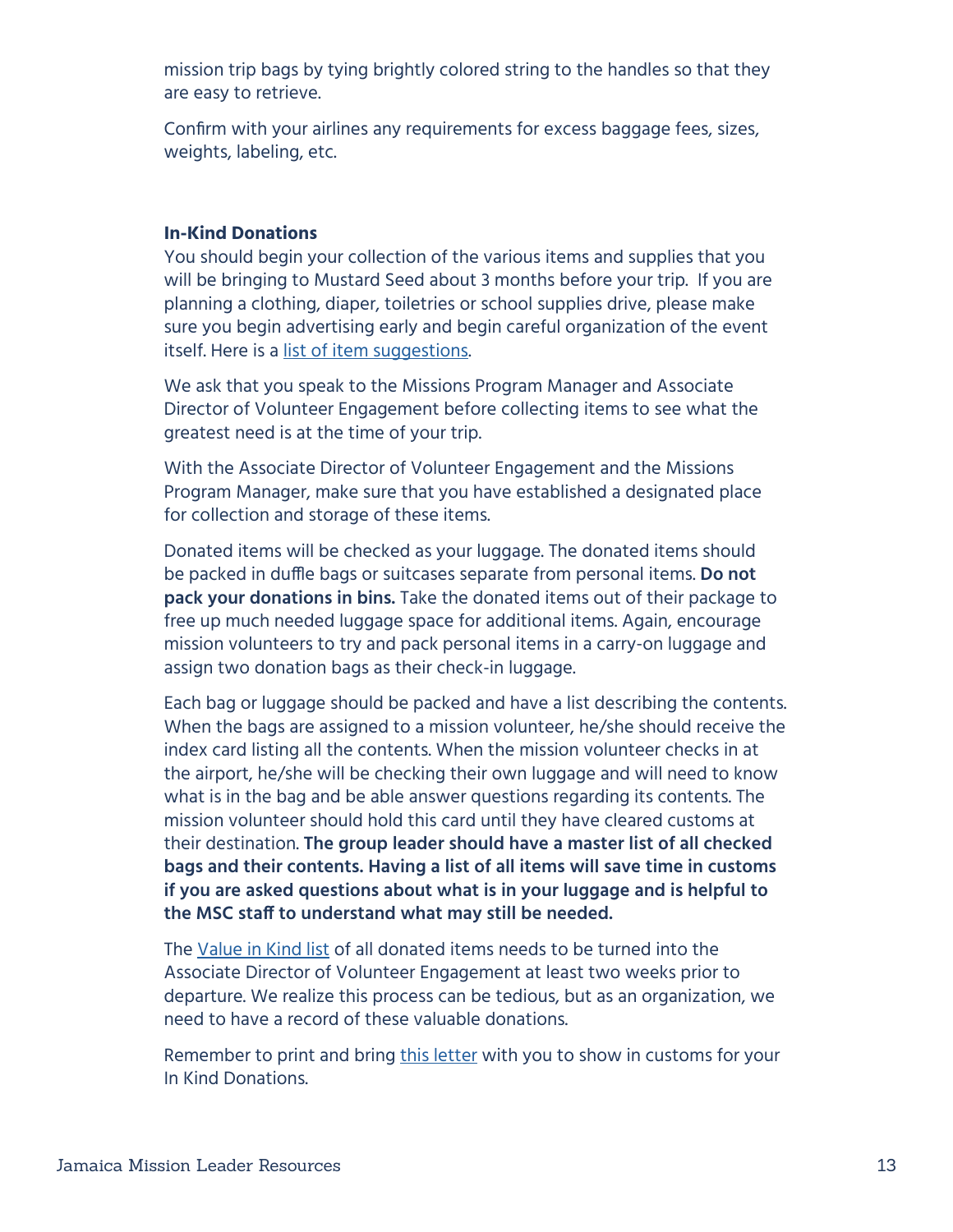mission trip bags by tying brightly colored string to the handles so that they are easy to retrieve.

Confirm with your airlines any requirements for excess baggage fees, sizes, weights, labeling, etc.

#### **In-Kind Donations**

You should begin your collection of the various items and supplies that you will be bringing to Mustard Seed about 3 months before your trip. If you are planning a clothing, diaper, toiletries or school supplies drive, please make sure you begin advertising early and begin careful organization of the event itself. Here is a [list of item suggestions.](https://www.mustardseed.com/sites/default/files/MSC%20Jamaica%20General%20Wish%20List%202017%20website.pdf)

We ask that you speak to the Missions Program Manager and Associate Director of Volunteer Engagement before collecting items to see what the greatest need is at the time of your trip.

With the Associate Director of Volunteer Engagement and the Missions Program Manager, make sure that you have established a designated place for collection and storage of these items.

Donated items will be checked as your luggage. The donated items should be packed in duffle bags or suitcases separate from personal items. **Do not pack your donations in bins.** Take the donated items out of their package to free up much needed luggage space for additional items. Again, encourage mission volunteers to try and pack personal items in a carry-on luggage and assign two donation bags as their check-in luggage.

Each bag or luggage should be packed and have a list describing the contents. When the bags are assigned to a mission volunteer, he/she should receive the index card listing all the contents. When the mission volunteer checks in at the airport, he/she will be checking their own luggage and will need to know what is in the bag and be able answer questions regarding its contents. The mission volunteer should hold this card until they have cleared customs at their destination. **The group leader should have a master list of all checked bags and their contents. Having a list of all items will save time in customs if you are asked questions about what is in your luggage and is helpful to the MSC staff to understand what may still be needed.** 

The [Value in Kind list](https://docs.google.com/spreadsheets/d/1FyX23XxCqjJz-72Mm0NOiLJgJM4GA66D/edit?usp=sharing&ouid=114222190925951018293&rtpof=true&sd=true) of all donated items needs to be turned into the Associate Director of Volunteer Engagement at least two weeks prior to departure. We realize this process can be tedious, but as an organization, we need to have a record of these valuable donations.

Remember to print and bring [this letter](https://www.mustardseed.com/sites/default/files/CustomsLetter.pdf) with you to show in customs for your In Kind Donations.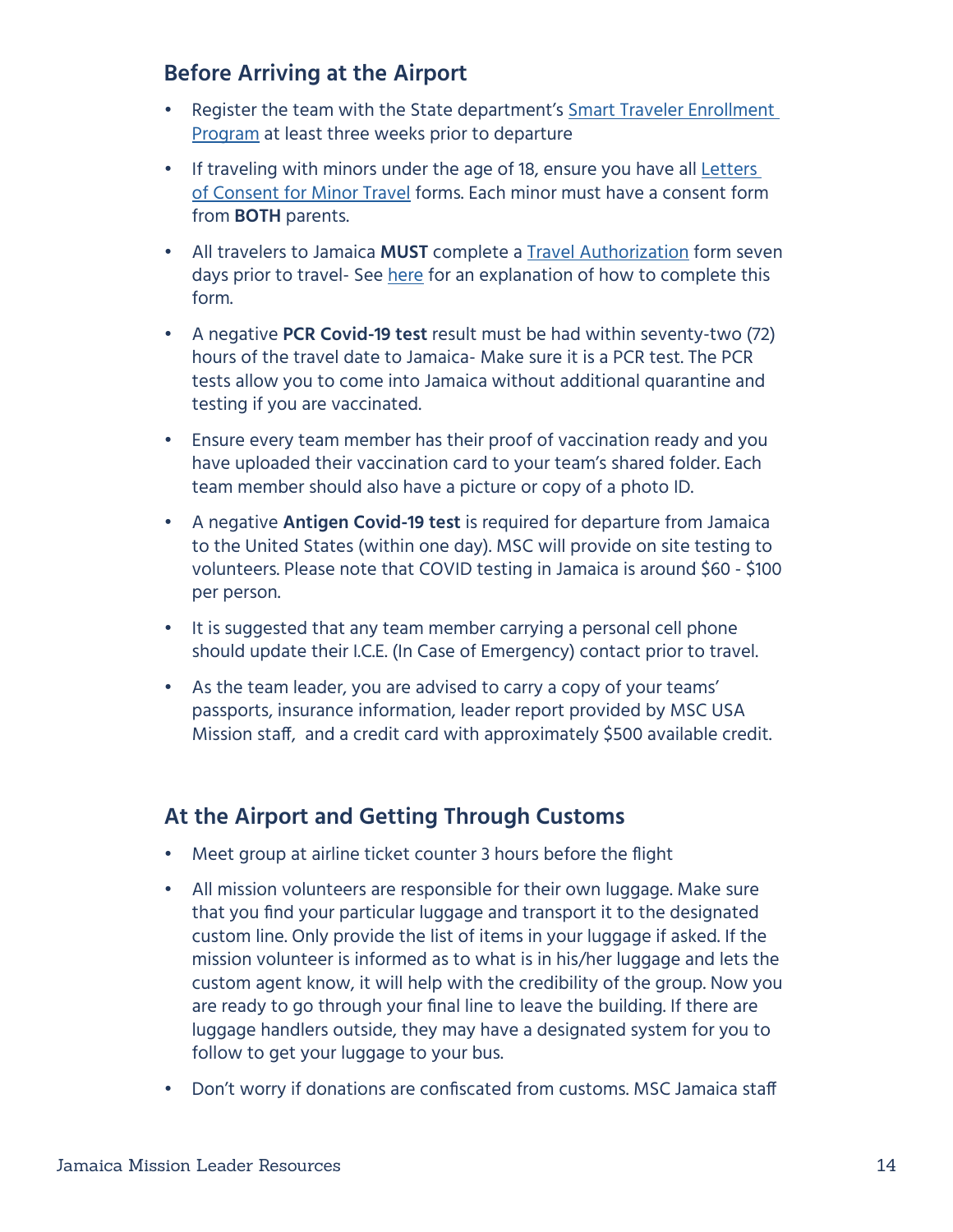## **Before Arriving at the Airport**

- Register the team with the State department's [Smart Traveler Enrollment](https://step.state.gov/step/)  [Program](https://step.state.gov/step/) at least three weeks prior to departure
- If traveling with minors under the age of 18, ensure you have all [Letters](https://mustardseed.com/sites/default/files/Travel_Minor%206_2017%20Revised-1.pdf)  [of Consent for Minor Travel](https://mustardseed.com/sites/default/files/Travel_Minor%206_2017%20Revised-1.pdf) forms. Each minor must have a consent form from **BOTH** parents.
- All travelers to Jamaica **MUST** complete a [Travel Authorization](https://www.visitjamaica.com/travelauthorization) form seven days prior to travel- See [here](https://docs.google.com/document/d/1gNQvdnBJcetieylraeS6yHExIqXOQNPy/edit?usp=sharing&ouid=114222190925951018293&rtpof=true&sd=true) for an explanation of how to complete this form.
- A negative **PCR Covid-19 test** result must be had within seventy-two (72) hours of the travel date to Jamaica- Make sure it is a PCR test. The PCR tests allow you to come into Jamaica without additional quarantine and testing if you are vaccinated.
- Ensure every team member has their proof of vaccination ready and you have uploaded their vaccination card to your team's shared folder. Each team member should also have a picture or copy of a photo ID.
- A negative **Antigen Covid-19 test** is required for departure from Jamaica to the United States (within one day). MSC will provide on site testing to volunteers. Please note that COVID testing in Jamaica is around \$60 - \$100 per person.
- It is suggested that any team member carrying a personal cell phone should update their I.C.E. (In Case of Emergency) contact prior to travel.
- As the team leader, you are advised to carry a copy of your teams' passports, insurance information, leader report provided by MSC USA Mission staff, and a credit card with approximately \$500 available credit.

## **At the Airport and Getting Through Customs**

- Meet group at airline ticket counter 3 hours before the flight
- All mission volunteers are responsible for their own luggage. Make sure that you find your particular luggage and transport it to the designated custom line. Only provide the list of items in your luggage if asked. If the mission volunteer is informed as to what is in his/her luggage and lets the custom agent know, it will help with the credibility of the group. Now you are ready to go through your final line to leave the building. If there are luggage handlers outside, they may have a designated system for you to follow to get your luggage to your bus.
- Don't worry if donations are confiscated from customs. MSC Jamaica staff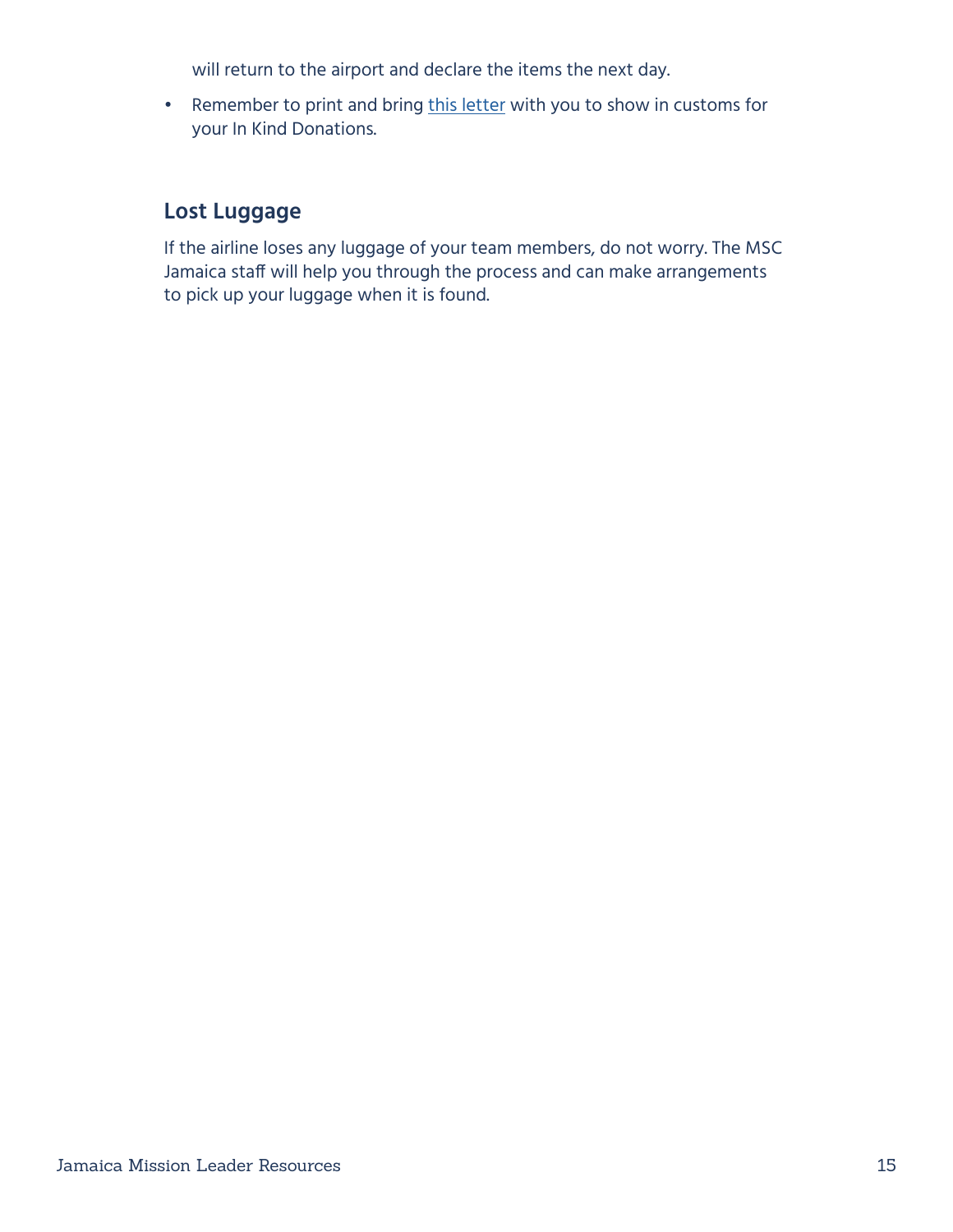will return to the airport and declare the items the next day.

• Remember to print and bring [this letter](https://www.mustardseed.com/sites/default/files/CustomsLetter.pdf) with you to show in customs for your In Kind Donations.

## **Lost Luggage**

If the airline loses any luggage of your team members, do not worry. The MSC Jamaica staff will help you through the process and can make arrangements to pick up your luggage when it is found.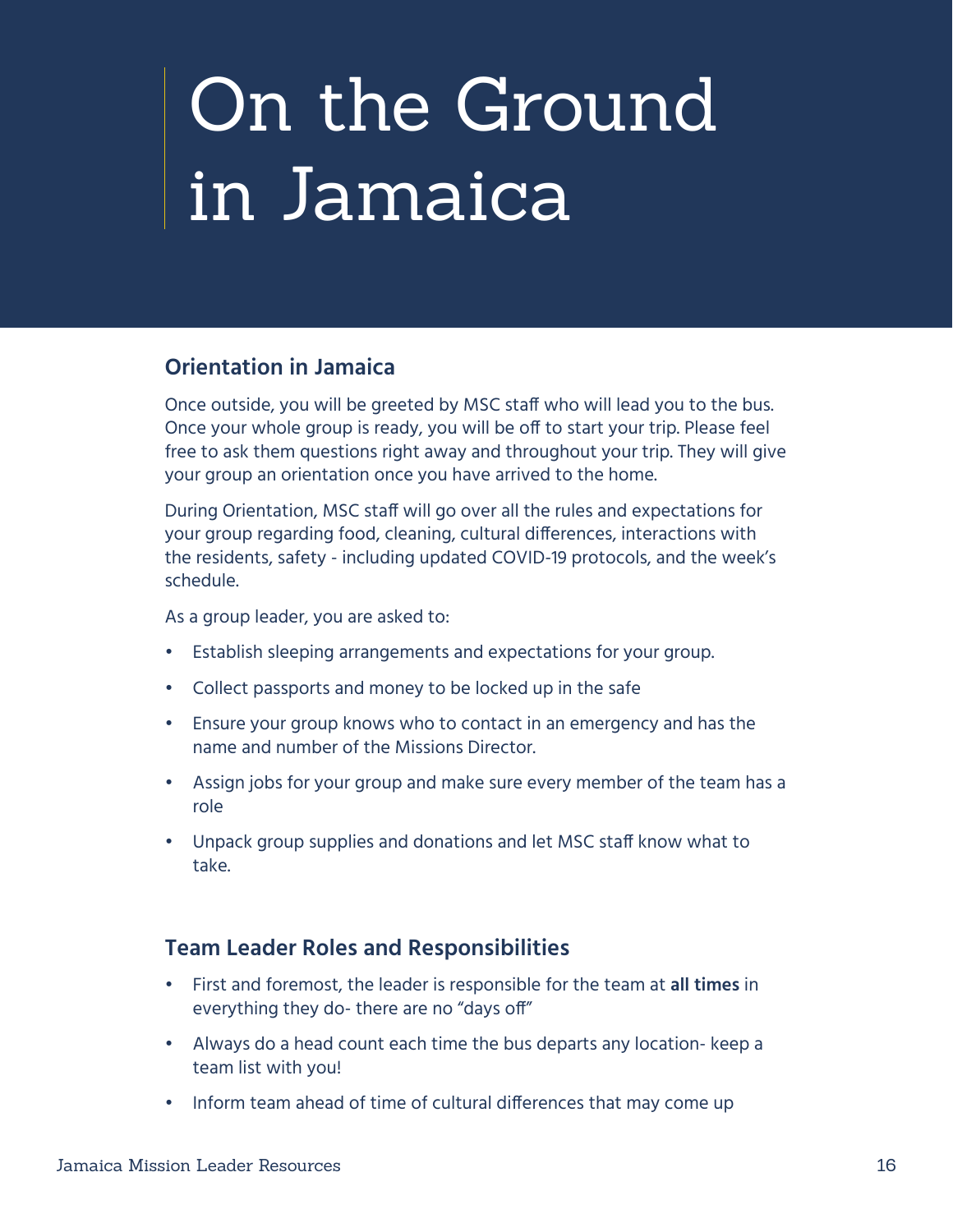# <span id="page-15-0"></span>On the Ground in Jamaica

## **Orientation in Jamaica**

Once outside, you will be greeted by MSC staff who will lead you to the bus. Once your whole group is ready, you will be off to start your trip. Please feel free to ask them questions right away and throughout your trip. They will give your group an orientation once you have arrived to the home.

During Orientation, MSC staff will go over all the rules and expectations for your group regarding food, cleaning, cultural differences, interactions with the residents, safety - including updated COVID-19 protocols, and the week's schedule.

As a group leader, you are asked to:

- Establish sleeping arrangements and expectations for your group.
- Collect passports and money to be locked up in the safe
- Ensure your group knows who to contact in an emergency and has the name and number of the Missions Director.
- Assign jobs for your group and make sure every member of the team has a role
- Unpack group supplies and donations and let MSC staff know what to take.

#### **Team Leader Roles and Responsibilities**

- First and foremost, the leader is responsible for the team at **all times** in everything they do- there are no "days off"
- Always do a head count each time the bus departs any location- keep a team list with you!
- Inform team ahead of time of cultural differences that may come up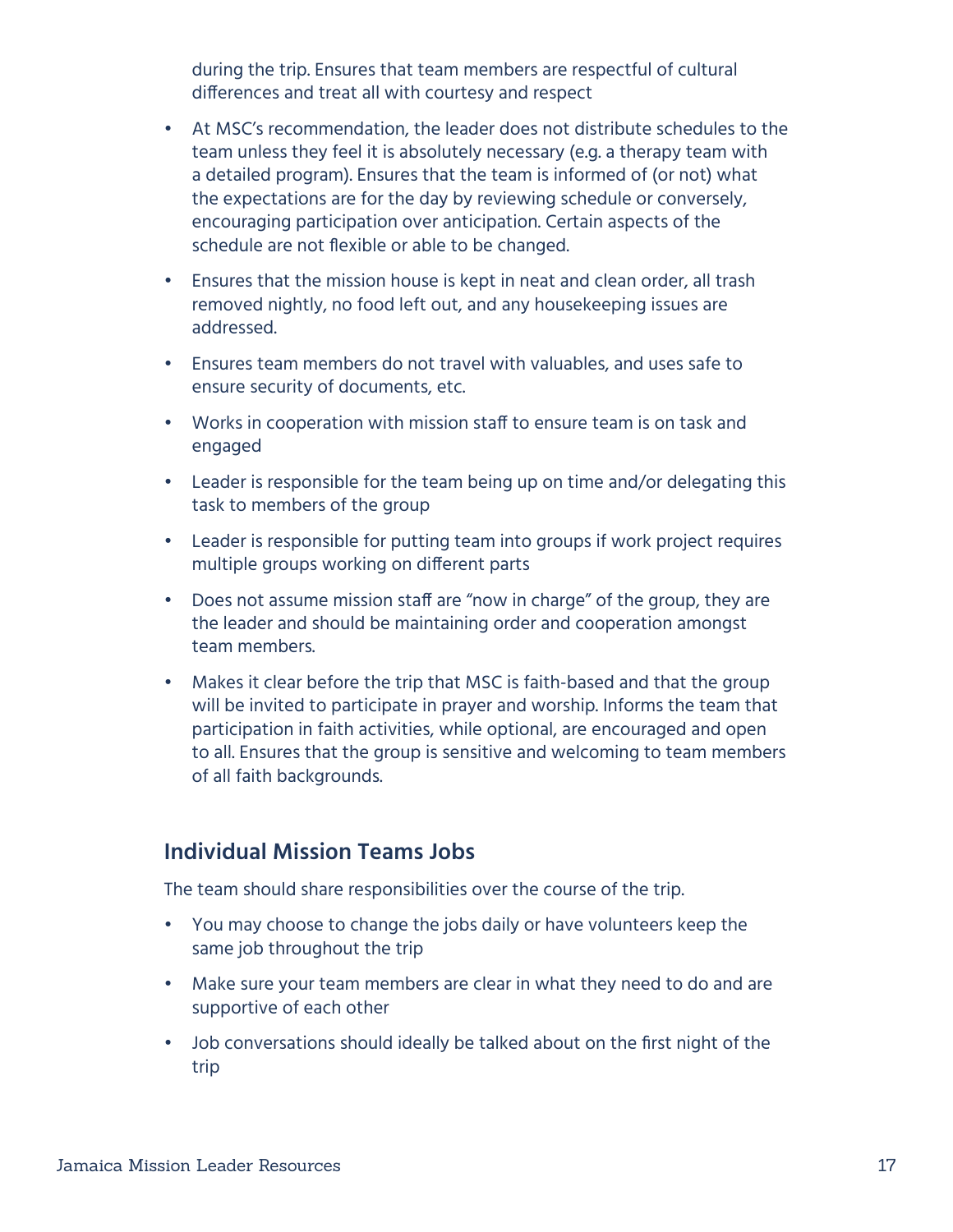during the trip. Ensures that team members are respectful of cultural differences and treat all with courtesy and respect

- At MSC's recommendation, the leader does not distribute schedules to the team unless they feel it is absolutely necessary (e.g. a therapy team with a detailed program). Ensures that the team is informed of (or not) what the expectations are for the day by reviewing schedule or conversely, encouraging participation over anticipation. Certain aspects of the schedule are not flexible or able to be changed.
- Ensures that the mission house is kept in neat and clean order, all trash removed nightly, no food left out, and any housekeeping issues are addressed.
- Ensures team members do not travel with valuables, and uses safe to ensure security of documents, etc.
- Works in cooperation with mission staff to ensure team is on task and engaged
- Leader is responsible for the team being up on time and/or delegating this task to members of the group
- Leader is responsible for putting team into groups if work project requires multiple groups working on different parts
- Does not assume mission staff are "now in charge" of the group, they are the leader and should be maintaining order and cooperation amongst team members.
- Makes it clear before the trip that MSC is faith-based and that the group will be invited to participate in prayer and worship. Informs the team that participation in faith activities, while optional, are encouraged and open to all. Ensures that the group is sensitive and welcoming to team members of all faith backgrounds.

#### **Individual Mission Teams Jobs**

The team should share responsibilities over the course of the trip.

- You may choose to change the jobs daily or have volunteers keep the same job throughout the trip
- Make sure your team members are clear in what they need to do and are supportive of each other
- Job conversations should ideally be talked about on the first night of the trip